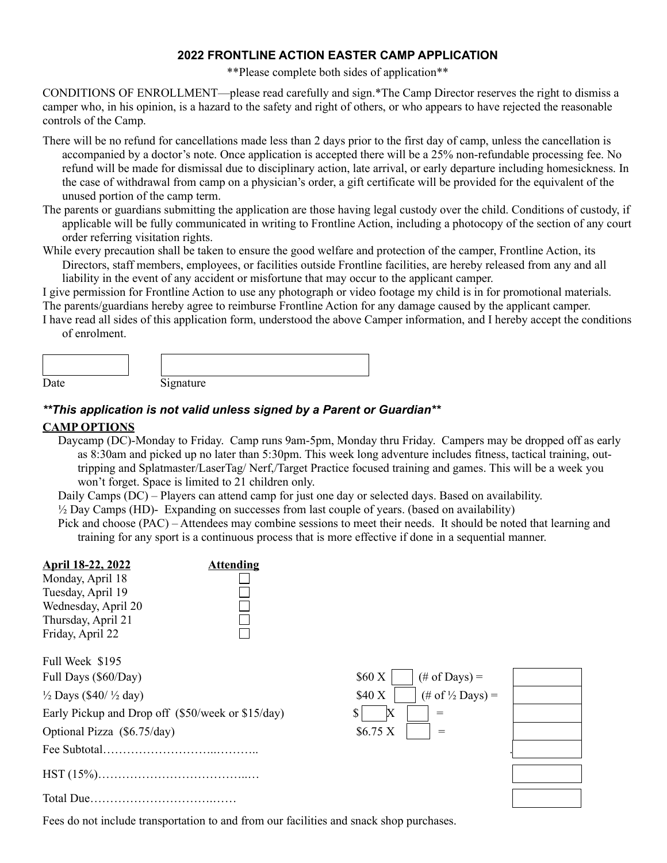# **2022 FRONTLINE ACTION EASTER CAMP APPLICATION**

\*\*Please complete both sides of application\*\*

CONDITIONS OF ENROLLMENT—please read carefully and sign.\*The Camp Director reserves the right to dismiss a camper who, in his opinion, is a hazard to the safety and right of others, or who appears to have rejected the reasonable controls of the Camp.

- There will be no refund for cancellations made less than 2 days prior to the first day of camp, unless the cancellation is accompanied by a doctor's note. Once application is accepted there will be a 25% non-refundable processing fee. No refund will be made for dismissal due to disciplinary action, late arrival, or early departure including homesickness. In the case of withdrawal from camp on a physician's order, a gift certificate will be provided for the equivalent of the unused portion of the camp term.
- The parents or guardians submitting the application are those having legal custody over the child. Conditions of custody, if applicable will be fully communicated in writing to Frontline Action, including a photocopy of the section of any court order referring visitation rights.
- While every precaution shall be taken to ensure the good welfare and protection of the camper, Frontline Action, its Directors, staff members, employees, or facilities outside Frontline facilities, are hereby released from any and all liability in the event of any accident or misfortune that may occur to the applicant camper.

I give permission for Frontline Action to use any photograph or video footage my child is in for promotional materials. The parents/guardians hereby agree to reimburse Frontline Action for any damage caused by the applicant camper.

I have read all sides of this application form, understood the above Camper information, and I hereby accept the conditions of enrolment.

| $\sim$ $\sim$<br>. . | Signature |  |
|----------------------|-----------|--|

# *\*\*This application is not valid unless signed by a Parent or Guardian\*\**

# **CAMP OPTIONS**

Daycamp (DC)-Monday to Friday. Camp runs 9am-5pm, Monday thru Friday. Campers may be dropped off as early as 8:30am and picked up no later than 5:30pm. This week long adventure includes fitness, tactical training, outtripping and Splatmaster/LaserTag/ Nerf,/Target Practice focused training and games. This will be a week you won't forget. Space is limited to 21 children only.

Daily Camps (DC) – Players can attend camp for just one day or selected days. Based on availability.

 $\frac{1}{2}$  Day Camps (HD)- Expanding on successes from last couple of years. (based on availability)

Pick and choose (PAC) – Attendees may combine sessions to meet their needs. It should be noted that learning and training for any sport is a continuous process that is more effective if done in a sequential manner.

| April 18-22, 2022                                 | <b>Attending</b> |          |                              |  |
|---------------------------------------------------|------------------|----------|------------------------------|--|
| Monday, April 18                                  |                  |          |                              |  |
| Tuesday, April 19                                 |                  |          |                              |  |
| Wednesday, April 20                               |                  |          |                              |  |
| Thursday, April 21                                |                  |          |                              |  |
| Friday, April 22                                  |                  |          |                              |  |
| Full Week \$195                                   |                  |          |                              |  |
| Full Days (\$60/Day)                              |                  | \$60 X   | $(\# \text{ of Days}) =$     |  |
| $\frac{1}{2}$ Days (\$40/ $\frac{1}{2}$ day)      |                  | \$40 X   | $(\# of \frac{1}{2}$ Days) = |  |
| Early Pickup and Drop off (\$50/week or \$15/day) |                  | X<br>S.  | $=$                          |  |
| Optional Pizza (\$6.75/day)                       |                  | \$6.75 X | $=$                          |  |
|                                                   |                  |          |                              |  |
|                                                   |                  |          |                              |  |
|                                                   |                  |          |                              |  |

Fees do not include transportation to and from our facilities and snack shop purchases.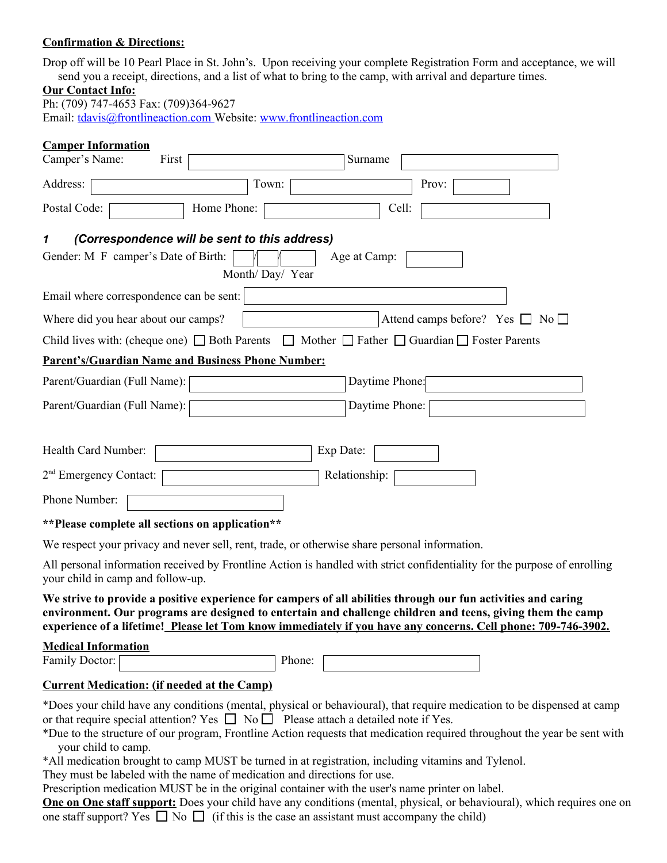# **Confirmation & Directions:**

Drop off will be 10 Pearl Place in St. John's. Upon receiving your complete Registration Form and acceptance, we will send you a receipt, directions, and a list of what to bring to the camp, with arrival and departure times.

#### **Our Contact Info:**

Ph: (709) 747-4653 Fax: (709)364-9627 Email: tdavis@frontlineaction.com Website: www.frontlineaction.com

| <b>Camper Information</b>                          |                                                                                                                                              |  |  |
|----------------------------------------------------|----------------------------------------------------------------------------------------------------------------------------------------------|--|--|
| Camper's Name:<br>First                            | Surname                                                                                                                                      |  |  |
| Address:                                           | Town:<br>Prov:                                                                                                                               |  |  |
| Postal Code:                                       | Home Phone:<br>Cell:                                                                                                                         |  |  |
| 1                                                  | (Correspondence will be sent to this address)                                                                                                |  |  |
| Gender: M F camper's Date of Birth:                | Age at Camp:<br>Month/Day/Year                                                                                                               |  |  |
| Email where correspondence can be sent:            |                                                                                                                                              |  |  |
| Where did you hear about our camps?                | Attend camps before? Yes $\Box$ No $\Box$                                                                                                    |  |  |
| Child lives with: (cheque one) $\Box$ Both Parents | $\Box$ Mother $\Box$ Father $\Box$ Guardian $\Box$ Foster Parents                                                                            |  |  |
|                                                    | <b>Parent's/Guardian Name and Business Phone Number:</b>                                                                                     |  |  |
| Parent/Guardian (Full Name):<br>Daytime Phone:     |                                                                                                                                              |  |  |
| Parent/Guardian (Full Name): [                     | Daytime Phone:                                                                                                                               |  |  |
|                                                    |                                                                                                                                              |  |  |
| Health Card Number:                                | Exp Date:                                                                                                                                    |  |  |
| 2 <sup>nd</sup> Emergency Contact:                 | Relationship:                                                                                                                                |  |  |
| Phone Number:                                      |                                                                                                                                              |  |  |
| **Please complete all sections on application**    |                                                                                                                                              |  |  |
|                                                    | We respect your privacy and never sell, rent, trade, or otherwise share personal information.                                                |  |  |
|                                                    | $\overline{a}$ , and $\overline{a}$ , and $\overline{a}$ , and $\overline{a}$ , and $\overline{a}$ , and $\overline{a}$ , and $\overline{a}$ |  |  |

All personal information received by Frontline Action is handled with strict confidentiality for the purpose of enrolling your child in camp and follow-up.

**We strive to provide a positive experience for campers of all abilities through our fun activities and caring environment. Our programs are designed to entertain and challenge children and teens, giving them the camp experience of a lifetime! Please let Tom know immediately if you have any concerns. Cell phone: 709-746-3902.**

### **Medical Information**

Family Doctor: Phone:

# **Current Medication: (if needed at the Camp)**

\*Does your child have any conditions (mental, physical or behavioural), that require medication to be dispensed at camp or that require special attention? Yes  $\Box$  No  $\Box$  Please attach a detailed note if Yes.

- \*Due to the structure of our program, Frontline Action requests that medication required throughout the year be sent with your child to camp.
- \*All medication brought to camp MUST be turned in at registration, including vitamins and Tylenol.

They must be labeled with the name of medication and directions for use.

Prescription medication MUST be in the original container with the user's name printer on label.

| <b>One on One staff support:</b> Does your child have any conditions (mental, physical, or behavioural), which requires one on |
|--------------------------------------------------------------------------------------------------------------------------------|
| one staff support? Yes $\Box$ No $\Box$ (if this is the case an assistant must accompany the child)                            |